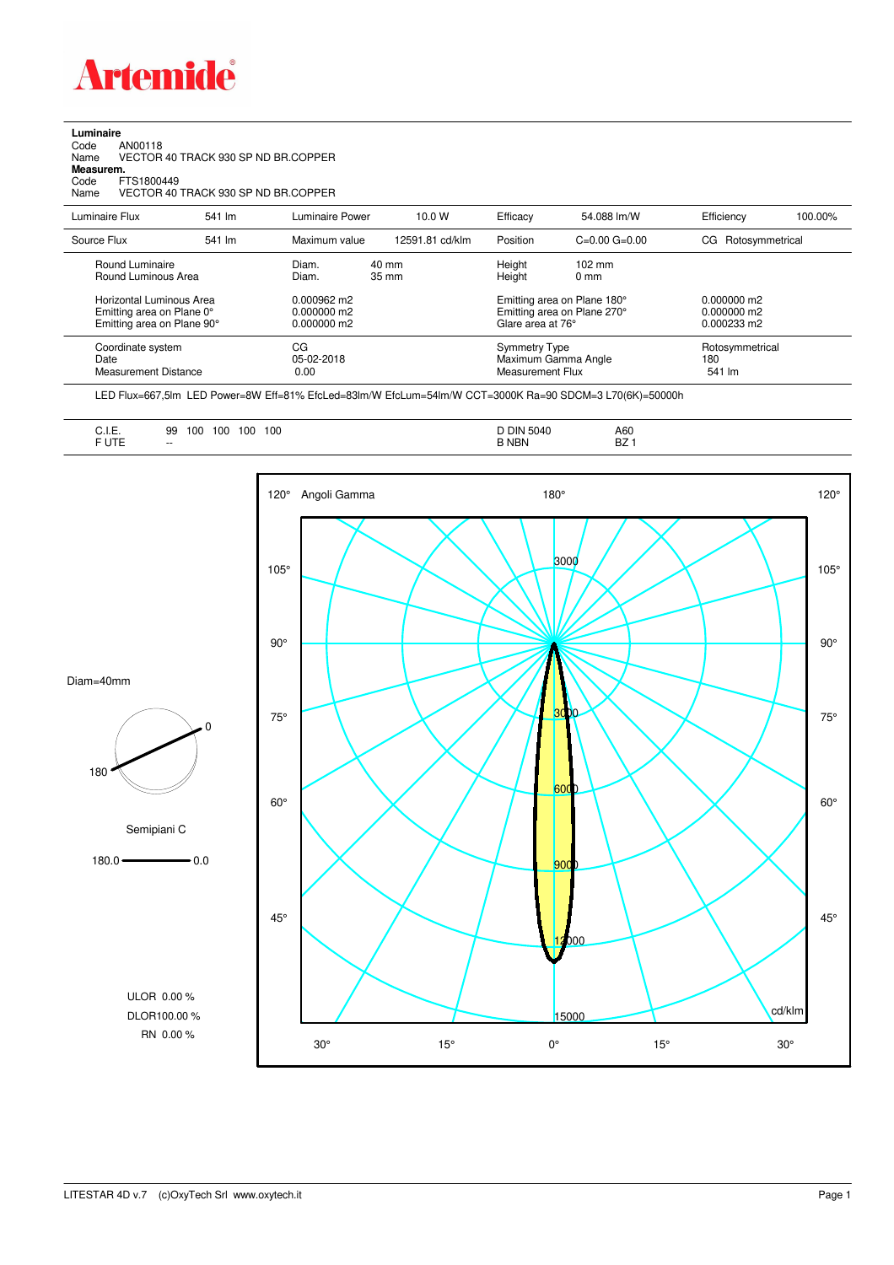

**Luminaire**<br>Code<br>Name Code AN00118 Name VECTOR 40 TRACK 930 SP ND BR.COPPER

**Measurem.** Code FTS1800449

Name VECTOR 40 TRACK 930 SP ND BR.COPPER

| Luminaire Flux                                                                                                                | 541 lm | Luminaire Power                                                 | 10.0 W                   | Efficacy | 54.088 lm/W                                                                                                                               | Efficiency             | 100.00%                          |  |
|-------------------------------------------------------------------------------------------------------------------------------|--------|-----------------------------------------------------------------|--------------------------|----------|-------------------------------------------------------------------------------------------------------------------------------------------|------------------------|----------------------------------|--|
| Source Flux                                                                                                                   | 541 lm | Maximum value                                                   | 12591.81 cd/klm          | Position | $C=0.00$ $G=0.00$                                                                                                                         | Rotosymmetrical<br>CG. |                                  |  |
| Round Luminaire<br>Round Luminous Area<br>Horizontal Luminous Area<br>Emitting area on Plane 0°<br>Emitting area on Plane 90° |        | Diam.<br>Diam.<br>0.000962 m2<br>$0.000000$ m2<br>$0.000000$ m2 | 40 mm<br>$35 \text{ mm}$ |          | Height<br>$102 \text{ mm}$<br>Height<br>$0 \text{ mm}$<br>Emitting area on Plane 180°<br>Emitting area on Plane 270°<br>Glare area at 76° |                        |                                  |  |
| Coordinate system<br>Date<br><b>Measurement Distance</b>                                                                      |        | CG<br>05-02-2018<br>0.00                                        |                          |          | <b>Symmetry Type</b><br>Maximum Gamma Angle<br>Measurement Flux                                                                           |                        | Rotosymmetrical<br>180<br>541 lm |  |

LED Flux=667,5lm LED Power=8W Eff=81% EfcLed=83lm/W EfcLum=54lm/W CCT=3000K Ra=90 SDCM=3 L70(6K)=50000h